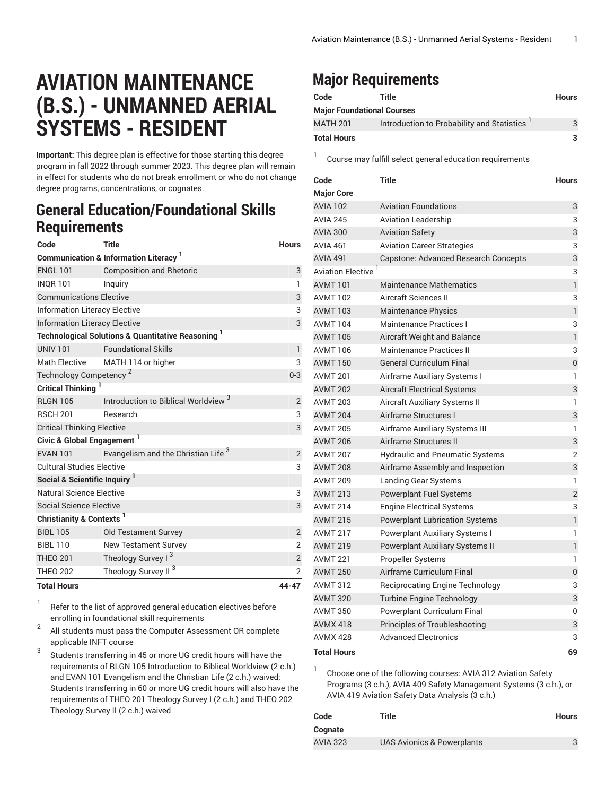# **AVIATION MAINTENANCE (B.S.) - UNMANNED AERIAL SYSTEMS - RESIDENT**

**Important:** This degree plan is effective for those starting this degree program in fall 2022 through summer 2023. This degree plan will remain in effect for students who do not break enrollment or who do not change degree programs, concentrations, or cognates.

### **General Education/Foundational Skills Requirements**

| Code                                                         | <b>Title</b>                                                  | <b>Hours</b>   |  |  |
|--------------------------------------------------------------|---------------------------------------------------------------|----------------|--|--|
| <b>Communication &amp; Information Literacy</b> <sup>1</sup> |                                                               |                |  |  |
| <b>ENGL 101</b>                                              | <b>Composition and Rhetoric</b>                               | 3              |  |  |
| <b>INQR101</b>                                               | Inguiry                                                       | 1              |  |  |
| <b>Communications Elective</b>                               | 3                                                             |                |  |  |
| <b>Information Literacy Elective</b>                         | 3                                                             |                |  |  |
| <b>Information Literacy Elective</b>                         |                                                               | 3              |  |  |
|                                                              | <b>Technological Solutions &amp; Quantitative Reasoning 1</b> |                |  |  |
| UNIV <sub>101</sub>                                          | <b>Foundational Skills</b>                                    | $\mathbf{1}$   |  |  |
| <b>Math Elective</b>                                         | MATH 114 or higher                                            | 3              |  |  |
| Technology Competency <sup>2</sup>                           |                                                               | $0 - 3$        |  |  |
| <b>Critical Thinking</b>                                     |                                                               |                |  |  |
| <b>RLGN 105</b>                                              | Introduction to Biblical Worldview <sup>3</sup>               | 2              |  |  |
| <b>RSCH 201</b>                                              | Research                                                      | 3              |  |  |
| <b>Critical Thinking Elective</b>                            |                                                               | 3              |  |  |
| Civic & Global Engagement <sup>1</sup>                       |                                                               |                |  |  |
| <b>FVAN 101</b>                                              | Evangelism and the Christian Life <sup>3</sup>                | $\overline{2}$ |  |  |
| <b>Cultural Studies Elective</b>                             |                                                               | 3              |  |  |
| Social & Scientific Inquiry <sup>1</sup>                     |                                                               |                |  |  |
| Natural Science Elective                                     |                                                               | 3              |  |  |
| Social Science Elective                                      |                                                               | 3              |  |  |
| Christianity & Contexts <sup>1</sup>                         |                                                               |                |  |  |
| <b>BIBI 105</b>                                              | <b>Old Testament Survey</b>                                   | $\overline{2}$ |  |  |
| <b>BIBL 110</b>                                              | <b>New Testament Survey</b>                                   | $\overline{2}$ |  |  |
| <b>THEO 201</b>                                              | Theology Survey I <sup>3</sup>                                | $\overline{2}$ |  |  |
| <b>THEO 202</b>                                              | Theology Survey II <sup>3</sup>                               | $\overline{2}$ |  |  |
| <b>Total Hours</b>                                           |                                                               | 44-47          |  |  |

#### 1 Refer to the list of approved general [education](https://www.liberty.edu/gened/) electives before enrolling in foundational skill requirements

2 All students must pass the [Computer Assessment](https://www.liberty.edu/computerassessment/) OR complete applicable INFT course

3 Students transferring in 45 or more UG credit hours will have the requirements of RLGN 105 Introduction to Biblical Worldview (2 c.h.) and EVAN 101 Evangelism and the Christian Life (2 c.h.) waived; Students transferring in 60 or more UG credit hours will also have the requirements of THEO 201 Theology Survey I (2 c.h.) and THEO 202 Theology Survey II (2 c.h.) waived

## **Major Requirements**

| Code                              | Title                                      | <b>Hours</b> |  |
|-----------------------------------|--------------------------------------------|--------------|--|
| <b>Major Foundational Courses</b> |                                            |              |  |
| <b>MATH 201</b>                   | Introduction to Probability and Statistics | 3            |  |
| <b>Total Hours</b>                |                                            | 3.           |  |

1 Course may fulfill select general education [requirements](http://www.liberty.edu/academics/generalstudies/?PID=37563)

| Code                           | <b>Title</b>                           | <b>Hours</b>     |
|--------------------------------|----------------------------------------|------------------|
| <b>Major Core</b>              |                                        |                  |
| <b>AVIA 102</b>                | <b>Aviation Foundations</b>            | 3                |
| <b>AVIA 245</b>                | <b>Aviation Leadership</b>             | 3                |
| <b>AVIA 300</b>                | <b>Aviation Safety</b>                 | 3                |
| <b>AVIA 461</b>                | <b>Aviation Career Strategies</b>      | 3                |
| <b>AVIA 491</b>                | Capstone: Advanced Research Concepts   | 3                |
| Aviation Elective <sup>1</sup> |                                        | 3                |
| <b>AVMT 101</b>                | <b>Maintenance Mathematics</b>         | 1                |
| <b>AVMT102</b>                 | <b>Aircraft Sciences II</b>            | 3                |
| <b>AVMT 103</b>                | <b>Maintenance Physics</b>             | $\mathbf{1}$     |
| <b>AVMT 104</b>                | <b>Maintenance Practices I</b>         | 3                |
| <b>AVMT 105</b>                | Aircraft Weight and Balance            | $\mathbf{1}$     |
| <b>AVMT 106</b>                | <b>Maintenance Practices II</b>        | 3                |
| <b>AVMT 150</b>                | <b>General Curriculum Final</b>        | $\boldsymbol{0}$ |
| <b>AVMT 201</b>                | Airframe Auxiliary Systems I           | 1                |
| <b>AVMT 202</b>                | <b>Aircraft Electrical Systems</b>     | 3                |
| <b>AVMT 203</b>                | Aircraft Auxiliary Systems II          | 1                |
| <b>AVMT 204</b>                | Airframe Structures I                  | 3                |
| <b>AVMT 205</b>                | Airframe Auxiliary Systems III         | 1                |
| <b>AVMT 206</b>                | Airframe Structures II                 | 3                |
| <b>AVMT 207</b>                | <b>Hydraulic and Pneumatic Systems</b> | $\overline{2}$   |
| <b>AVMT 208</b>                | Airframe Assembly and Inspection       | 3                |
| <b>AVMT 209</b>                | Landing Gear Systems                   | 1                |
| <b>AVMT 213</b>                | <b>Powerplant Fuel Systems</b>         | $\overline{2}$   |
| <b>AVMT 214</b>                | <b>Engine Electrical Systems</b>       | 3                |
| <b>AVMT 215</b>                | <b>Powerplant Lubrication Systems</b>  | 1                |
| <b>AVMT 217</b>                | Powerplant Auxiliary Systems I         | 1                |
| <b>AVMT 219</b>                | Powerplant Auxiliary Systems II        | $\mathbf{1}$     |
| <b>AVMT 221</b>                | Propeller Systems                      | 1                |
| <b>AVMT 250</b>                | Airframe Curriculum Final              | $\mathbf 0$      |
| <b>AVMT 312</b>                | <b>Reciprocating Engine Technology</b> | 3                |
| <b>AVMT 320</b>                | <b>Turbine Engine Technology</b>       | 3                |
| <b>AVMT 350</b>                | Powerplant Curriculum Final            | 0                |
| <b>AVMX 418</b>                | Principles of Troubleshooting          | 3                |
| <b>AVMX 428</b>                | <b>Advanced Electronics</b>            | 3                |
| <b>Total Hours</b>             |                                        | 69               |

1

Choose one of the following courses: AVIA 312 Aviation Safety Programs (3 c.h.), AVIA 409 Safety Management Systems (3 c.h.), or AVIA 419 Aviation Safety Data Analysis (3 c.h.)

| Code            | Title                      | Hours |
|-----------------|----------------------------|-------|
| Cognate         |                            |       |
| <b>AVIA 323</b> | UAS Avionics & Powerplants |       |